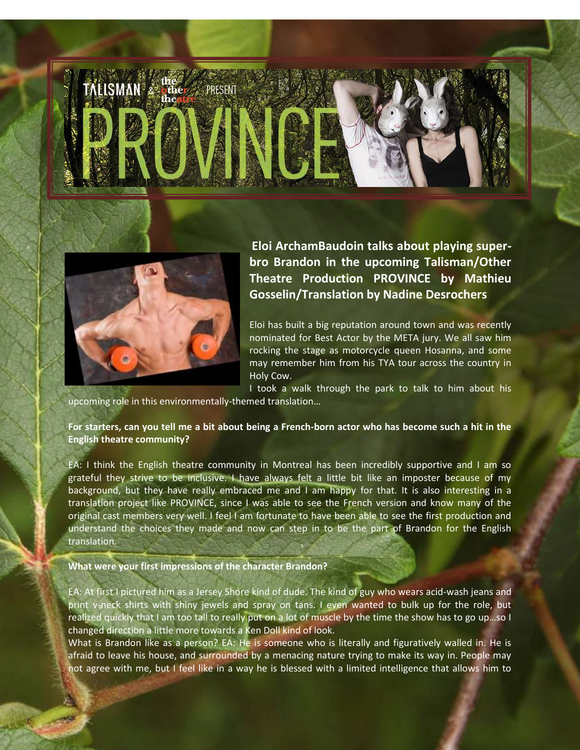



**Eloi ArchamBaudoin talks about playing superbro Brandon in the upcoming Talisman/Other Theatre Production PROVINCE by Mathieu Gosselin/Translation by Nadine Desrochers** 

Eloi has built a big reputation around town and was recently nominated for Best Actor by the META jury. We all saw him rocking the stage as motorcycle queen Hosanna, and some may remember him from his TYA tour across the country in Holy Cow.

I took a walk through the park to talk to him about his upcoming role in this environmentally-themed translation…

**For starters, can you tell me a bit about being a French-born actor who has become such a hit in the English theatre community?** 

EA: I think the English theatre community in Montreal has been incredibly supportive and I am so grateful they strive to be inclusive. I have always felt a little bit like an imposter because of my background, but they have really embraced me and I am happy for that. It is also interesting in a translation project like PROVINCE, since I was able to see the French version and know many of the original cast members very well. I feel I am fortunate to have been able to see the first production and understand the choices they made and now can step in to be the part of Brandon for the English translation.

## **What were your first impressions of the character Brandon?**

EA: At first I pictured him as a Jersey Shore kind of dude. The kind of guy who wears acid-wash jeans and print v-neck shirts with shiny jewels and spray on tans. I even wanted to bulk up for the role, but realized quickly that I am too tall to really put on a lot of muscle by the time the show has to go up…so I changed direction a little more towards a Ken Doll kind of look.

What is Brandon like as a person? EA: He is someone who is literally and figuratively walled in. He is afraid to leave his house, and surrounded by a menacing nature trying to make its way in. People may not agree with me, but I feel like in a way he is blessed with a limited intelligence that allows him to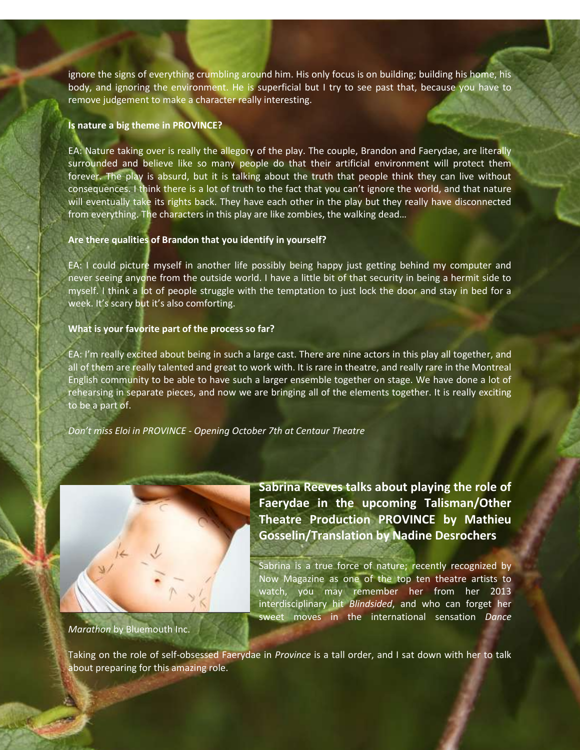ignore the signs of everything crumbling around him. His only focus is on building; building his home, his body, and ignoring the environment. He is superficial but I try to see past that, because you have to remove judgement to make a character really interesting.

## **Is nature a big theme in PROVINCE?**

EA: Nature taking over is really the allegory of the play. The couple, Brandon and Faerydae, are literally surrounded and believe like so many people do that their artificial environment will protect them forever. The play is absurd, but it is talking about the truth that people think they can live without consequences. I think there is a lot of truth to the fact that you can't ignore the world, and that nature will eventually take its rights back. They have each other in the play but they really have disconnected from everything. The characters in this play are like zombies, the walking dead…

# **Are there qualities of Brandon that you identify in yourself?**

EA: I could picture myself in another life possibly being happy just getting behind my computer and never seeing anyone from the outside world. I have a little bit of that security in being a hermit side to myself. I think a lot of people struggle with the temptation to just lock the door and stay in bed for a week. It's scary but it's also comforting.

# **What is your favorite part of the process so far?**

EA: I'm really excited about being in such a large cast. There are nine actors in this play all together, and all of them are really talented and great to work with. It is rare in theatre, and really rare in the Montreal English community to be able to have such a larger ensemble together on stage. We have done a lot of rehearsing in separate pieces, and now we are bringing all of the elements together. It is really exciting to be a part of.

*Don't miss Eloi in PROVINCE - Opening October 7th at Centaur Theatre* 



**Sabrina Reeves talks about playing the role of Faerydae in the upcoming Talisman/Other Theatre Production PROVINCE by Mathieu Gosselin/Translation by Nadine Desrochers** 

Sabrina is a true force of nature; recently recognized by Now Magazine as one of the top ten theatre artists to watch, you may remember her from her 2013 interdisciplinary hit *Blindsided*, and who can forget her sweet moves in the international sensation *Dance* 

*Marathon* by Bluemouth Inc.

Taking on the role of self-obsessed Faerydae in *Province* is a tall order, and I sat down with her to talk about preparing for this amazing role.